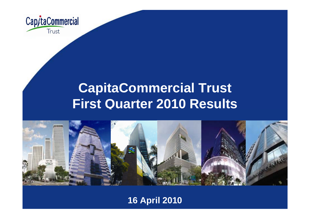

# **CapitaCommercial Trust First Quarter 2010 Results**



### **16 April 2010**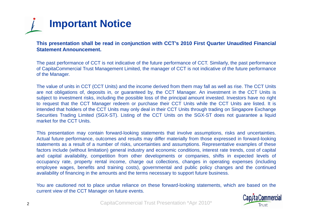

This presentation shall be read in conjunction with CCT's 2010 First Quarter Unaudited Financial **Statement Announcement.**

The past performance of CCT is not indicative of the future performance of CCT. Similarly, the past performance of CapitaCommercial Trust Management Limited, the manager of CCT is not indicative of the future performance of the Manager.

The value of units in CCT (CCT Units) and the income derived from them may fall as well as rise. The CCT Units are not obligations of, deposits in, or guaranteed by, the CCT Manager. An investment in the CCT Units is subject to investment risks, including the possible loss of the principal amount invested. Investors have no right to request that the CCT Manager redeem or purchase their CCT Units while the CCT Units are listed. It is intended that holders of the CCT Units may only deal in their CCT Units through trading on Singapore Exchange Securities Trading Limited (SGX-ST). Listing of the CCT Units on the SGX-ST does not guarantee <sup>a</sup> liquid market for the CCT Units.

This presentation may contain forward-looking statements that involve assumptions, risks and uncertainties. Actual future performance, outcomes and results may differ materially from those expressed in forward-looking statements as <sup>a</sup> result of <sup>a</sup> number of risks, uncertainties and assumptions. Representative examples of these factors include (without limitation) general industry and economic conditions, interest rate trends, cost of capital and capital availability, competition from other developments or companies, shifts in expected levels of occupancy rate, property rental income, charge out collections, changes in operating expenses (including employee wages, benefits and training costs), governmental and public policy changes and the continued availability of financing in the amounts and the terms necessary to support future business.

You are cautioned not to place undue reliance on these forward-looking statements, which are based on the current view of the CCT Manager on future events.

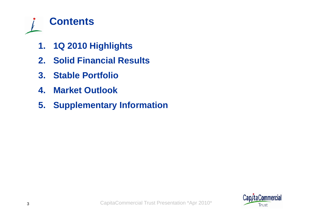

- **1. 1Q 2010 Highlights**
- **2. Solid Financial Results**
- **3. Stable Portfolio**
- **4. Market Outlook**
- **5. Supplementary Information**

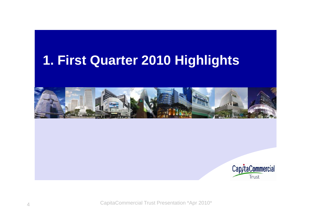# **First Quarter 2010 Highlights 1.**



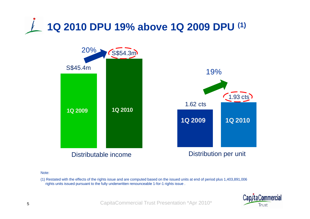



Note:

(1) Restated with the effects of the rights issue and are computed based on the issued units at end of period plus 1,403,891,006 rights units issued pursuant to the fully underwritten renounceable 1-for-1 rights issue .

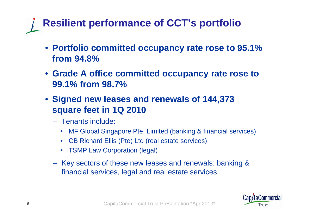# **Resilient performance of CCT's portfolio**

- **Portfolio committed occupancy rate rose to 95.1% from 94 8% 94.8%**
- **Grade A office committed occupancy rate rose to 99 1% from 98 7% 99.1% 98.7%**
- **Signed new leases and renewals of 144,373 square feet in 1Q 2010 square**
	- Tenants include:
		- MF Global Singapore Pte. Limited (banking & financial services)
		- CB Richard Ellis (Pte) Ltd (real estate services)
		- TSMP Law Corporation (legal)
	- Key sectors of these new leases and renewals: banking & financial services, legal and real estate services.

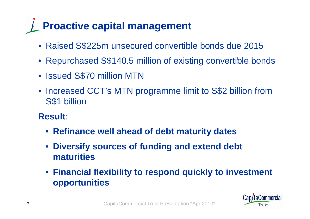# **Proactive capital management**

- Raised S\$225m unsecured convertible bonds due 2015
- Repurchased S\$140.5 million of existing convertible bonds
- Issued S\$70 million MTN
- Increased CCT's MTN programme limit to S\$2 billion from S\$1 billion
- **Result**:
	- **Refinance well ahead of debt maturity dates**
	- • **Diversify sources of funding and extend debt maturities**
	- **Financial flexibility to respond quickly to investment opportunities**

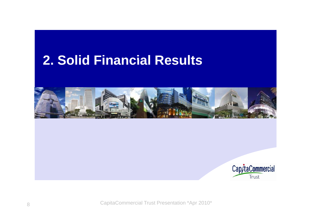## **Solid Financial Results 2.**



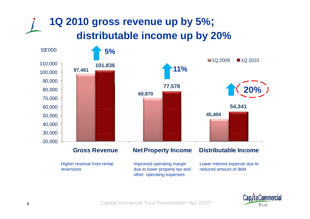## **1Q 2010 gross revenue up by 5%; distributable income up by 20%**



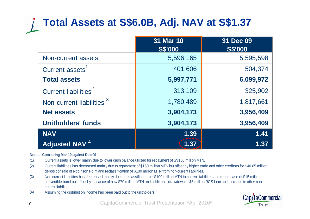## **Total Assets at S\$6.0B, Adj. NAV at S\$1.37**

|                                      | 31 Mar 10<br><b>S\$'000</b> | 31 Dec 09<br><b>S\$'000</b> |
|--------------------------------------|-----------------------------|-----------------------------|
| Non-current assets                   | 5,596,165                   | 5,595,598                   |
| Current assets <sup>1</sup>          | 401,606                     | 504,374                     |
| <b>Total assets</b>                  | 5,997,771                   | 6,099,972                   |
| Current liabilities <sup>2</sup>     | 313,109                     | 325,902                     |
| Non-current liabilities <sup>3</sup> | 1,780,489                   | 1,817,661                   |
| <b>Net assets</b>                    | 3,904,173                   | 3,956,409                   |
| <b>Unitholders' funds</b>            | 3,904,173                   | 3,956,409                   |
| <b>NAV</b>                           | 1.39                        | 1.41                        |
| <b>Adjusted NAV<sup>4</sup></b>      | 1.37                        | 1.37                        |

#### **Notes: Comparing Mar 10 against Dec 09**

- (1) Current assets is lower mainly due to lower cash balance utilized for repayment of S\$150 million MTN.
- (2) Current liabilities has decreased mainly due to repayment of \$150 million MTN but offset by higher trade and other creditors for \$40.65 million deposit of sale of Robinson Point and reclassification of \$100 million MTN from non-current liabilities.
- (3) Non-current liabilities has decreased mainly due to reclassification of \$100 million MTN to current liabilities and repurchase of \$15 million convertible bond but offset by issuance of new \$70 million MTN and additional drawdown of \$3 million RCS loan and increase in other non-y current liabilities .
- CapitaCommercial Trust Presentation \*Apr 2010\* (4) Assuming the distribution income has been paid out to the unitholders



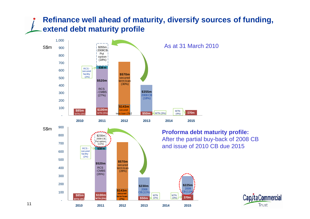### **Refinance well ahead of maturity, diversify sources of funding, extend debt maturity profile**





11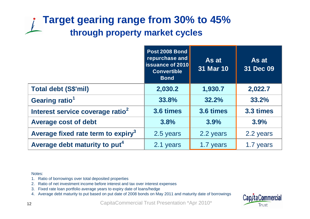## **Target gearing range from 30% to 45% through property market cycles**

|                                                | Post 2008 Bond<br>repurchase and<br><b>ISSuance of 2010</b><br><b>Convertible</b><br><b>Bond</b> | As at<br>31 Mar 10 | As at<br>31 Dec 09 |
|------------------------------------------------|--------------------------------------------------------------------------------------------------|--------------------|--------------------|
| <b>Total debt (S\$'mil)</b>                    | 2,030.2                                                                                          | 1,930.7            | 2,022.7            |
| Gearing ratio <sup>1</sup>                     | 33.8%                                                                                            | 32.2%              | 33.2%              |
| Interest service coverage ratio <sup>2</sup>   | 3.6 times                                                                                        | 3.6 times          | 3.3 times          |
| <b>Average cost of debt</b>                    | 3.8%                                                                                             | 3.9%               | 3.9%               |
| Average fixed rate term to expiry <sup>3</sup> | 2.5 years                                                                                        | 2.2 years          | 2.2 years          |
| Average debt maturity to put <sup>4</sup>      | 2.1 years                                                                                        | 1.7 years          | 1.7 years          |

Notes:

- 1. Ratio of borrowings over total deposited properties
- 2. Ratio of net investment income before interest and tax over interest expenses
- 3. Fixed rate loan portfolio average years to expiry date of loans/hedge
- 4. Average debt maturity to put based on put date of 2008 bonds on May 2011 and maturity date of borrowings

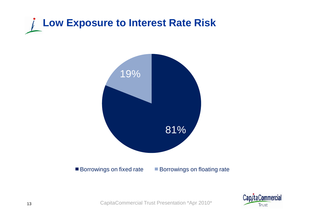



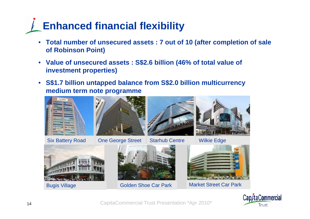# **Enhanced financial flexibility**

- **Total number of unsecured assets : 7 out of 10 (after completion of sale of Robinson Point)**
- **Value of unsecured assets : S \$2.6 billion (46% of total value of investment properties)**
- **S\$1.7 billion untapped balance from S\$2.0 billion multicurrency medium term note programme**





Six Battery Road | One George Street | Starhub Centre | Wilkie Edge







Bugis Village





is Village Golden Shoe Car Park Market Street Car Park

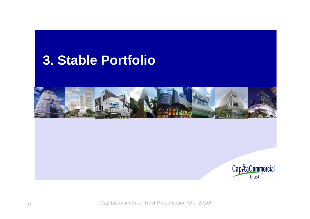## **Stable Portfolio 3.**



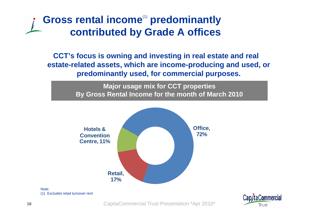## Gross rental income<sup>(1)</sup> predominantly **contributed by Grade A offices**

**CCT's focus is owning and investing in real estate and real estate-related assets, which are income-producing and used, or predominantly used, for commercial purposes.**

> **M j i f CCT ti ajor usage mix for CCT properties By Gross Rental Income for the month of March 2010**





Note: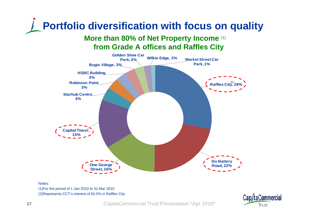# **Portfolio diversification with focus on quality**

**More than 80% of Net Property Income (1) from Grade A offices and Raffles City**



#### Notes:

(1)For the period of 1 Jan 2010 to 31 Mar 2010 (2)Represents CCT's interest of 60.0% in Raffles City

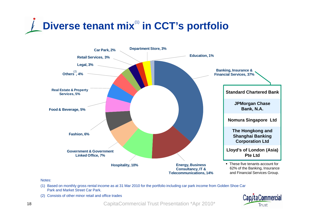



Notes:

- (1) Based on monthly gross rental income as at 31 Mar 2010 for the portfolio including car park income from Golden Shoe Car Park and Market Street Car Park.
- (2) Consists of other minor retail and office trades

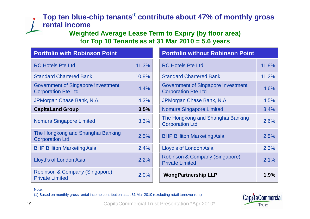### **Top ten blue-chip tenants**(1) **contribute about 47% of monthly gross rental income**

**Weighted Average Lease Term to Expiry (by floor area) area) for Top 10 Tenants as at 31 Mar 2010 = 5.6 years**

| <b>Portfolio with Robinson Point</b>                                    |       | <b>Portfolio without Robinson Point</b>                                 |       |
|-------------------------------------------------------------------------|-------|-------------------------------------------------------------------------|-------|
| <b>RC Hotels Pte Ltd</b>                                                | 11.3% | <b>RC Hotels Pte Ltd</b>                                                | 11.8% |
| <b>Standard Chartered Bank</b>                                          | 10.8% | <b>Standard Chartered Bank</b>                                          | 11.2% |
| <b>Government of Singapore Investment</b><br><b>Corporation Pte Ltd</b> | 4.4%  | <b>Government of Singapore Investment</b><br><b>Corporation Pte Ltd</b> | 4.6%  |
| JPMorgan Chase Bank, N.A.                                               | 4.3%  | JPMorgan Chase Bank, N.A.                                               | 4.5%  |
| <b>CapitaLand Group</b>                                                 | 3.5%  | <b>Nomura Singapore Limited</b>                                         | 3.4%  |
| <b>Nomura Singapore Limited</b>                                         | 3.3%  | The Hongkong and Shanghai Banking<br><b>Corporation Ltd</b>             | 2.6%  |
| The Hongkong and Shanghai Banking<br><b>Corporation Ltd</b>             | 2.5%  | <b>BHP Billiton Marketing Asia</b>                                      | 2.5%  |
| <b>BHP Billiton Marketing Asia</b>                                      | 2.4%  | Lloyd's of London Asia                                                  | 2.3%  |
| Lloyd's of London Asia                                                  | 2.2%  | Robinson & Company (Singapore)<br><b>Private Limited</b>                | 2.1%  |
| Robinson & Company (Singapore)<br><b>Private Limited</b>                | 2.0%  | <b>WongPartnership LLP</b>                                              | 1.9%  |

Note:

(1) Based on monthly gross rental income contribution as at 31 Mar 2010 (excluding retail turnover rent)

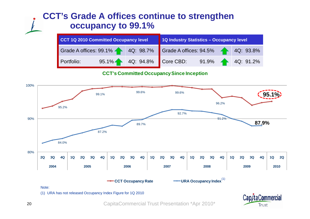### **CCT's Grade A offices continue to strengthen occupancy to 99.1%**

| CCT 1Q 2010 Committed Occupancy level                             |  | 1Q Industry Statistics - Occupancy level |                                           |  |  |  |
|-------------------------------------------------------------------|--|------------------------------------------|-------------------------------------------|--|--|--|
| Grade A offices: 99.1% 40: 98.7% Grade A offices: 94.5% 40: 93.8% |  |                                          |                                           |  |  |  |
| Portfolio:                                                        |  |                                          | 95.1% 4Q: 94.8% Core CBD: 91.9% 4Q: 91.2% |  |  |  |

**CCT's Committed Occupancy Since Inception**



(1) URA has not released Occupancy Index Figure for 1Q 2010

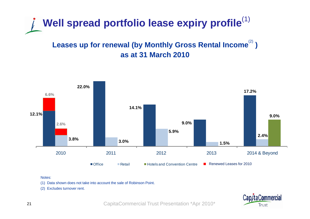

### Leases up for renewal (by Monthly Gross Rental Income<sup>(2)</sup>) **as at 31 March 2010**



#### Notes:

(1) Data shown does not take into account the sale of Robinson Point.<br>(2) Excludes turnover rent.

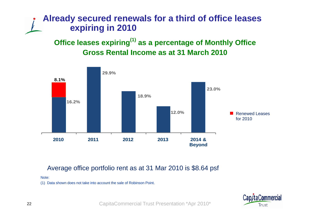### **Already secured renewals for a third of office leases expiring in 2010**

**Office leases expiring(1) as a percentage of Monthly Office Gross Rental Income as at 31 March 2010**



### Average office portfolio rent as at 31 Mar 2010 is \$8.64 psf

Note:

(1) Data shown does not take into account the sale of Robinson Point.

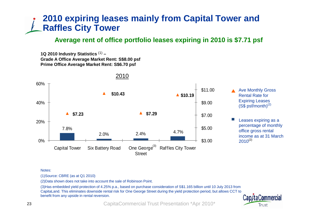### **2010 expiring leases mainly from Capital Tower and Raffles City Tower**

### **Average rent of office portfolio leases expiring in 2010 is \$7.71 psf**

**1Q 2010 Industry Statistics** (1) **–Grade A Office Average Market Rent: S\$8 00 psf S\$8.00 Prime Office Average Market Rent: S\$6.70 psf**



2010

### $(S$ psf/month)$ <sup>(2)</sup> Leases expiring as a percentage of monthly office gross rental

#### Notes:

(1)Source: CBRE (as at Q1 2010)

(2)Data shown does not take into account the sale of Robinson Point.

(3)Has embedded yield protection of 4.25% p.a., based on purchase consideration of S\$1.165 billion until 10 July 2013 from CapitaLand. This eliminates downside rental risk for One George Street during the yield protection period, but allows CCT to benefit from any upside in rental reversion.

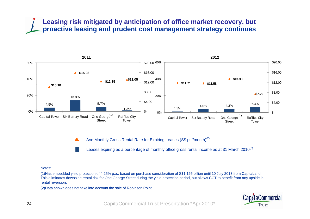### **Leasing risk mitigated by anticipation of office market recovery, but proactive leasing and prudent cost management strategy continues**



Ave Monthly Gross Rental Rate for Expiring Leases (S\$ psf/month)<sup>(2)</sup>  $\blacktriangle$ 

Leases expiring as a percentage of monthly office gross rental income as at 31 March 2010<sup>(2)</sup>

#### Notes:

(1)Has embedded yield protection of 4.25% p.a., based on purchase consideration of S\$1.165 billion until 10 July 2013 from CapitaLand. This eliminates downside rental risk for One George Street during the yield protection period, but allows CCT to benefit from any upside in rental reversion.

(2)Data shown does not take into account the sale of Robinson Point.

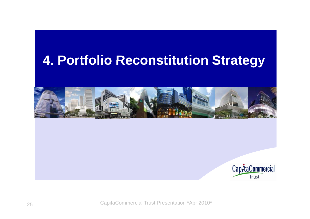## **Portfolio Reconstitution Strategy 4.**



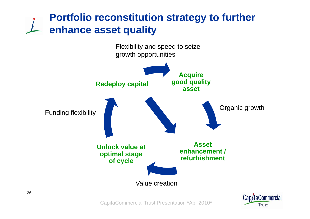## **Portfolio reconstitution strategy to further enhance asset q y ualit**



CapitaCommercial Trust Presentation \*Apr 2010\*

**Trust**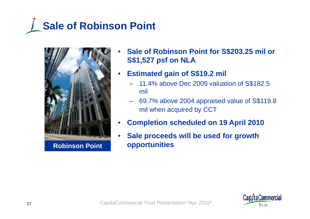



- • **Sale of Robinson Point for S\$203.25 mil or S\$1 527 S\$1,527psf on NLA**
- $\bullet$  **Estimated gain of S\$19.2 mil** 
	- 11.4% above Dec 2009 valuation of S\$182.5 mil
	- – 69.7% above 2004 appraised value of S\$119.8 mil when acquired by CCT
- •**Completion scheduled on 19 April 2010**
- $\bullet$ **•** Sale proceeds will be used for growth **opportunities**

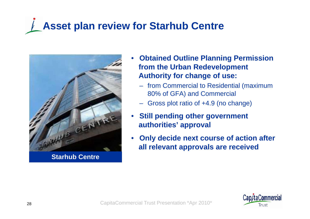# **Asset plan review for Starhub Centre**



**Starhub Centre**

- • **Obtained Outline Planning Permission Permission from the Urban Redevelopment Authority for change of use:**
	- from Commercial to Residential (maximum 80% of GFA) and Commercial
	- Gross plot ratio of +4.9 (no change)
- • **Still pending other government authorities' approval**
- • **Only decide next course of action after all relevant approvals are received**

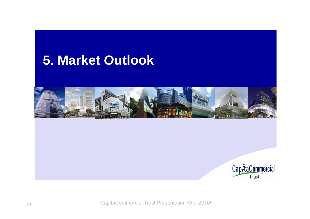## **Market Outlook 5.**



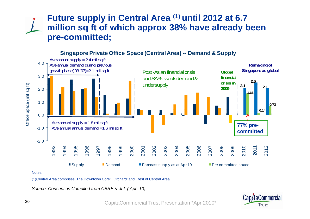### **Future supply in Central Area (1) until 2012 at 6.7 million sq ft of which approx 38% have already been pre-committ de d;**



#### **Singapore Private Office Space (Central Area) -- Demand & Supply**

(1)Central Area comprises 'The Downtown Core', 'Orchard' and 'Rest of Central Area'

*Source: Consensus Compiled from CBRE & JLL ( Apr 10)*

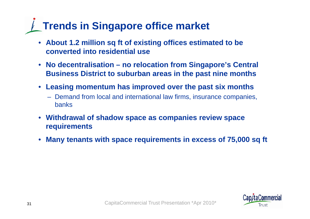# **Trends in Singapore office market**

- **About 1.2 million sq ft of existing offices estimated to be converted into residential use**
- **No decentralisation – no relocation from Singapore's Central Business District to suburban areas in the past nine months**
- Leasing momentum has improved over the past six months
	- Demand from local and international law firms, insurance companies, banks
- **Withdrawal of shadow space as companies review space requirements**
- $\bullet$ **Many tenants with space requirements in excess of 75,000 sq ft**

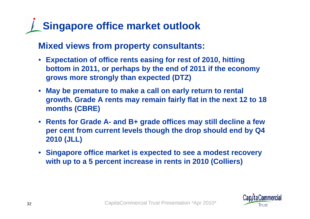# **Singapore office market outlook**

**Mixed views from property consultants:**

- Expectation of office rents easing for rest of 2010, hitting **bottom in 2011, or perhaps by the end of 2011 if the economy grows more strongly than expected (DTZ)**
- **May be premature to make a call on early return to rental growth. Grade A rents may remain fairly flat in the next 12 to 18 months (CBRE)**
- **Rents for Grade A- and B+ grade offices may still decline a few per cent from current levels though the drop should end by Q4 2010 (JLL)**
- **Singapore office market is expected to see a modest recovery**  with up to a 5 percent increase in rents in 2010 (Colliers)

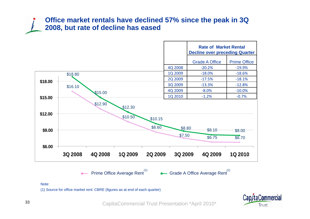### **Office market rentals have declined 57% since the peak in 3Q 2008, but rate of decline has eased**



Note:

(1) Source for office market rent: CBRE (figures as at end of each quarter)

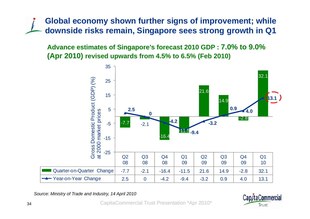**Global economy shown further signs of improvement; while downside risks remain, Sin g p gg a pore sees stron g growth in Q1** 

**Advance estimates of Singapore's forecast 2010 GDP : 7.0% to 9.0% (Apr 2010 ) revised upwards from 4.5% to 6.5% (Feb 2010) (** 



*Source: Ministry of Trade and Industry, 14 April 2010*

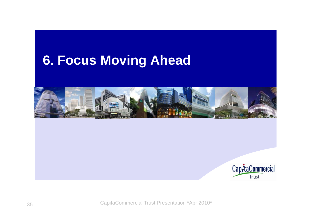# **Focus Moving Ahead 6.**



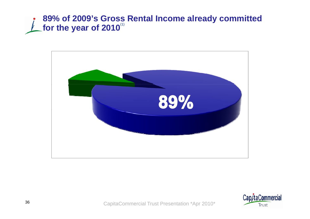### **89% of 2009's Gross Rental Income already committed**  for the year of 2010<sup>(1)</sup>



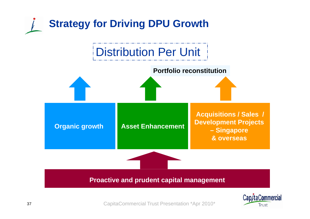

**Trust**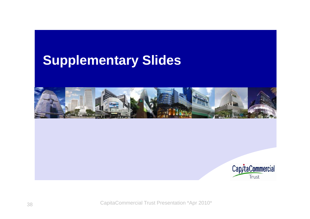## **Supplementary Slides**



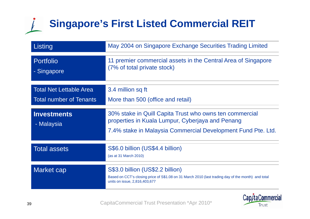# **Singapore's First Listed Commercial REIT**

| Listing                          | May 2004 on Singapore Exchange Securities Trading Limited                                                                                                               |
|----------------------------------|-------------------------------------------------------------------------------------------------------------------------------------------------------------------------|
| <b>Portfolio</b><br>- Singapore  | 11 premier commercial assets in the Central Area of Singapore<br>(7% of total private stock)                                                                            |
| <b>Total Net Lettable Area</b>   | 3.4 million sq ft                                                                                                                                                       |
| <b>Total number of Tenants</b>   | More than 500 (office and retail)                                                                                                                                       |
| <b>Investments</b><br>- Malaysia | 30% stake in Quill Capita Trust who owns ten commercial<br>properties in Kuala Lumpur, Cyberjaya and Penang                                                             |
|                                  | 7.4% stake in Malaysia Commercial Development Fund Pte. Ltd.                                                                                                            |
| <b>Total assets</b>              | S\$6.0 billion (US\$4.4 billion)<br>(as at 31 March 2010)                                                                                                               |
|                                  |                                                                                                                                                                         |
| Market cap                       | S\$3.0 billion (US\$2.2 billion)<br>Based on CCT's closing price of S\$1.08 on 31 March 2010 (last trading day of the month) and total<br>units on issue, 2,816,403,677 |



Cap/taCommercial Trust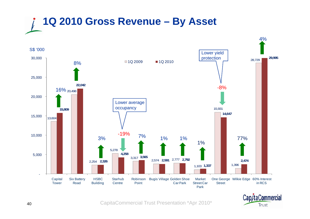



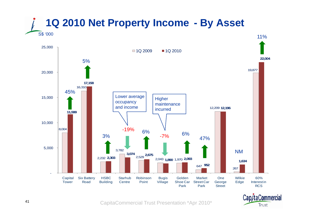



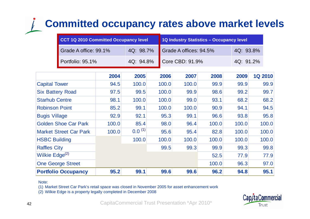## **Committed occupancy rates above market levels**

| CCT 1Q 2010 Committed Occupancy level |           | 1Q Industry Statistics - Occupancy level |           |  |
|---------------------------------------|-----------|------------------------------------------|-----------|--|
| Grade A office: 99.1%                 | 4Q: 98.7% | Grade A offices: 94.5%                   | 4Q: 93.8% |  |
| Portfolio: 95.1%                      |           | 4Q: 94.8% Core CBD: 91.9%                | 4Q: 91.2% |  |

|                               | 2004  | 2005        | 2006  | 2007  | 2008  | 2009  | <b>1Q 2010</b> |
|-------------------------------|-------|-------------|-------|-------|-------|-------|----------------|
| <b>Capital Tower</b>          | 94.5  | 100.0       | 100.0 | 100.0 | 99.9  | 99.9  | 99.9           |
| <b>Six Battery Road</b>       | 97.5  | 99.5        | 100.0 | 99.9  | 98.6  | 99.2  | 99.7           |
| <b>Starhub Centre</b>         | 98.1  | 100.0       | 100.0 | 99.0  | 93.1  | 68.2  | 68.2           |
| <b>Robinson Point</b>         | 85.2  | 99.1        | 100.0 | 100.0 | 90.9  | 94.1  | 94.5           |
| <b>Bugis Village</b>          | 92.9  | 92.1        | 95.3  | 99.1  | 96.6  | 93.8  | 95.8           |
| <b>Golden Shoe Car Park</b>   | 100.0 | 85.4        | 98.0  | 96.4  | 100.0 | 100.0 | 100.0          |
| <b>Market Street Car Park</b> | 100.0 | $0.0^{(1)}$ | 95.6  | 95.4  | 82.8  | 100.0 | 100.0          |
| <b>HSBC Building</b>          |       | 100.0       | 100.0 | 100.0 | 100.0 | 100.0 | 100.0          |
| <b>Raffles City</b>           |       |             | 99.5  | 99.3  | 99.9  | 99.3  | 99.8           |
| Wilkie Edge <sup>(2)</sup>    |       |             |       |       | 52.5  | 77.9  | 77.9           |
| <b>One George Street</b>      |       |             |       |       | 100.0 | 96.3  | 97.0           |
| <b>Portfolio Occupancy</b>    | 95.2  | 99.1        | 99.6  | 99.6  | 96.2  | 94.8  | 95.1           |

Note:

(1) Market Street Car Park's retail space was closed in November 2005 for asset enhancement work

(2) Wilkie Edge is a property legally completed in December 2008

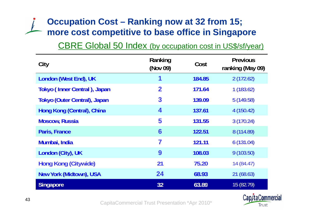## **Occupation Cost – Ranking now at 32 from 15; more cost competitive to base office in Singapore cost competitive to**

### CBRE Global 50 Index (by occupation cost in US\$/sf/year)

| City                                | Ranking<br>(Nov 09)     | Cost   | <b>Previous</b><br>ranking (May 09) |  |
|-------------------------------------|-------------------------|--------|-------------------------------------|--|
| London (West End), UK               | 1                       | 184.85 | 2(172.62)                           |  |
| Tokyo (Inner Central), Japan        | $\overline{\mathbf{2}}$ | 171.64 | 1(183.62)                           |  |
| <b>Tokyo (Outer Central), Japan</b> | 3                       | 139.09 | 5(149.58)                           |  |
| Hong Kong (Central), China          | 4                       | 137.61 | 4(150.42)                           |  |
| <b>Moscow, Russia</b>               | 5                       | 131.55 | 3(170.24)                           |  |
| Paris, France                       | 6                       | 122.51 | 8 (114.89)                          |  |
| Mumbai, India                       | 7                       | 121.11 | 6(131.04)                           |  |
| London (City), UK                   | 9                       | 108.03 | 9(103.50)                           |  |
| <b>Hong Kong (Citywide)</b>         | 21                      | 75.20  | 14(84.47)                           |  |
| <b>New York (Midtown), USA</b>      | 24                      | 68.93  | 21(68.63)                           |  |
| <b>Singapore</b>                    | 32                      | 63.89  | 15 (82.79)                          |  |

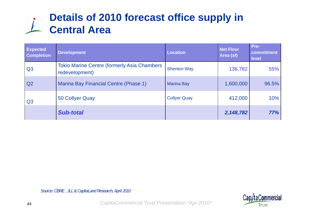## **Details of 2010 forecast office supply in Central Area**

| <b>Expected</b><br><b>Completion</b> | <b>Development</b>                                                    | Location            | <b>Net Floor</b><br>Area (sf) | Pre-<br>commitment<br>level |
|--------------------------------------|-----------------------------------------------------------------------|---------------------|-------------------------------|-----------------------------|
| Q <sub>3</sub>                       | <b>Tokio Marine Centre (formerly Asia Chambers)</b><br>redevelopment) | <b>Shenton Way</b>  | 136,782                       | 55%                         |
| Q <sub>2</sub>                       | <b>Marina Bay Financial Centre (Phase 1)</b>                          | <b>Marina Bay</b>   | 1,600,000                     | 96.5%                       |
| Q <sub>3</sub>                       | 50 Collyer Quay                                                       | <b>Collyer Quay</b> | 412,000                       | 10%                         |
|                                      | <b>Sub-total</b>                                                      |                     | 2,148,782                     | 77%                         |

*Source: CBRE , JLL & CapitaLand Research, April 2010*

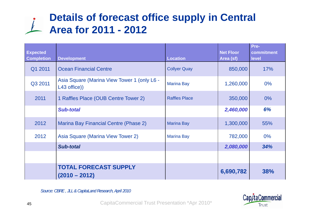## **Details of forecast office supply in Central Area for 2011 - 2012**

| <b>Expected</b><br><b>Completion</b> | <b>Development</b>                                          | <b>Location</b>      | <b>Net Floor</b><br>Area (sf) | Pre-<br>commitment<br>level |
|--------------------------------------|-------------------------------------------------------------|----------------------|-------------------------------|-----------------------------|
| Q1 2011                              | <b>Ocean Financial Centre</b>                               | <b>Collyer Quay</b>  | 850,000                       | 17%                         |
| Q3 2011                              | Asia Square (Marina View Tower 1 (only L6 -<br>L43 office)) | <b>Marina Bay</b>    | 1,260,000                     | $0\%$                       |
| 2011                                 | 1 Raffles Place (OUB Centre Tower 2)                        | <b>Raffles Place</b> | 350,000                       | $0\%$                       |
|                                      | <b>Sub-total</b>                                            |                      | 2,460,000                     | 6%                          |
| 2012                                 | <b>Marina Bay Financial Centre (Phase 2)</b>                | <b>Marina Bay</b>    | 1,300,000                     | 55%                         |
| 2012                                 | Asia Square (Marina View Tower 2)                           | <b>Marina Bay</b>    | 782,000                       | $0\%$                       |
|                                      | <b>Sub-total</b>                                            |                      | 2,080,000                     | 34%                         |
|                                      |                                                             |                      |                               |                             |
|                                      | <b>TOTAL FORECAST SUPPLY</b><br>$(2010 - 2012)$             |                      | 6,690,782                     | 38%                         |

*Source: CBRE , JLL & CapitaLand Research, April 2010*